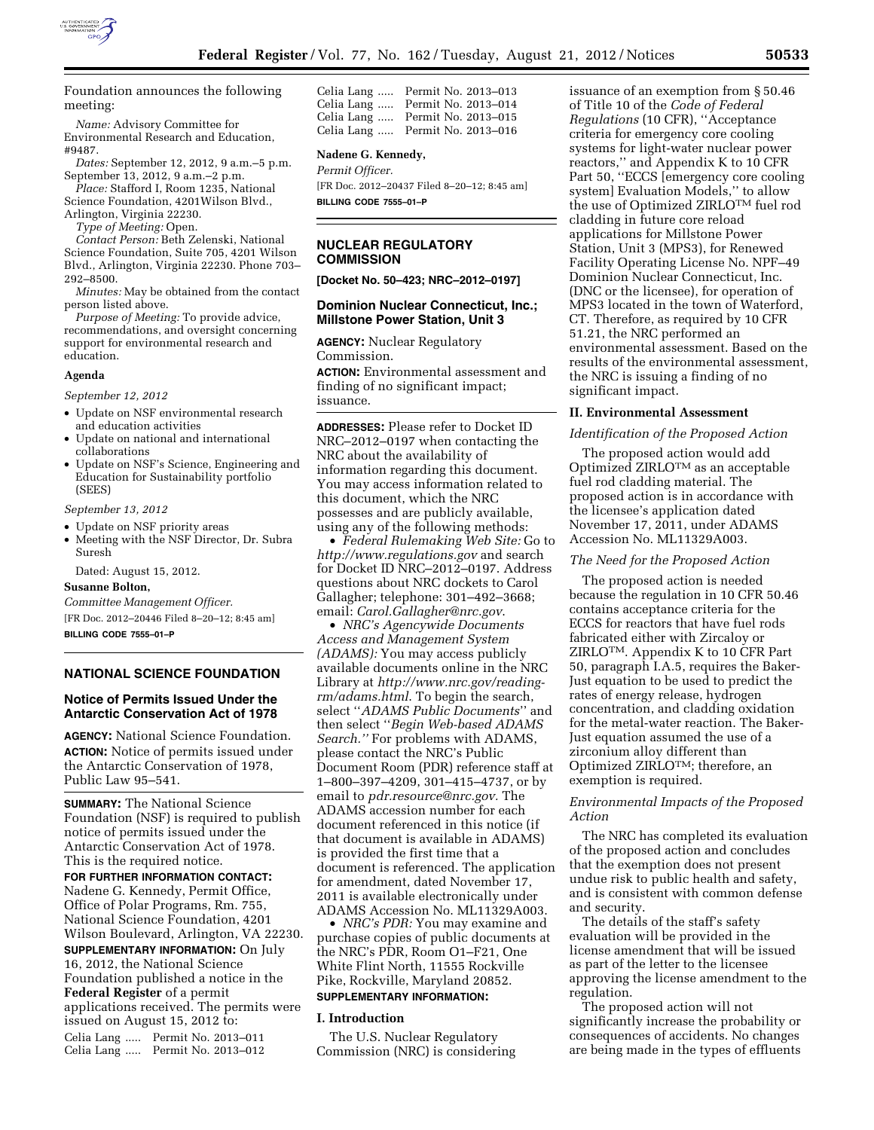

Foundation announces the following meeting:

*Name:* Advisory Committee for Environmental Research and Education, #9487.

*Dates:* September 12, 2012, 9 a.m.–5 p.m. September 13, 2012, 9 a.m.–2 p.m.

*Place:* Stafford I, Room 1235, National Science Foundation, 4201Wilson Blvd., Arlington, Virginia 22230.

*Type of Meeting:* Open.

*Contact Person:* Beth Zelenski, National Science Foundation, Suite 705, 4201 Wilson Blvd., Arlington, Virginia 22230. Phone 703– 292–8500.

*Minutes:* May be obtained from the contact person listed above.

*Purpose of Meeting:* To provide advice, recommendations, and oversight concerning support for environmental research and education.

#### **Agenda**

*September 12, 2012* 

- Update on NSF environmental research and education activities
- Update on national and international collaborations
- Update on NSF's Science, Engineering and Education for Sustainability portfolio (SEES)

#### *September 13, 2012*

- Update on NSF priority areas
- Meeting with the NSF Director, Dr. Subra Suresh

Dated: August 15, 2012.

# **Susanne Bolton,**

*Committee Management Officer.*  [FR Doc. 2012–20446 Filed 8–20–12; 8:45 am] **BILLING CODE 7555–01–P** 

**NATIONAL SCIENCE FOUNDATION** 

# **Notice of Permits Issued Under the Antarctic Conservation Act of 1978**

**AGENCY:** National Science Foundation. **ACTION:** Notice of permits issued under the Antarctic Conservation of 1978, Public Law 95–541.

**SUMMARY:** The National Science Foundation (NSF) is required to publish notice of permits issued under the Antarctic Conservation Act of 1978. This is the required notice.

**FOR FURTHER INFORMATION CONTACT:**  Nadene G. Kennedy, Permit Office, Office of Polar Programs, Rm. 755, National Science Foundation, 4201 Wilson Boulevard, Arlington, VA 22230. **SUPPLEMENTARY INFORMATION:** On July 16, 2012, the National Science Foundation published a notice in the **Federal Register** of a permit applications received. The permits were issued on August 15, 2012 to: Celia Lang ..... Permit No. 2013–011 Celia Lang ..... Permit No. 2013–012

| Celia Lang | Permit No. 2013-013 |  |
|------------|---------------------|--|
| Celia Lang | Permit No. 2013-014 |  |
| Celia Lang | Permit No. 2013-015 |  |
| Celia Lang | Permit No. 2013-016 |  |

# **Nadene G. Kennedy,**

*Permit Officer.* 

[FR Doc. 2012–20437 Filed 8–20–12; 8:45 am] **BILLING CODE 7555–01–P** 

# **NUCLEAR REGULATORY COMMISSION**

**[Docket No. 50–423; NRC–2012–0197]** 

# **Dominion Nuclear Connecticut, Inc.; Millstone Power Station, Unit 3**

**AGENCY:** Nuclear Regulatory Commission.

**ACTION:** Environmental assessment and finding of no significant impact; issuance.

**ADDRESSES:** Please refer to Docket ID NRC–2012–0197 when contacting the NRC about the availability of information regarding this document. You may access information related to this document, which the NRC possesses and are publicly available, using any of the following methods:

• *Federal Rulemaking Web Site:* Go to *<http://www.regulations.gov>* and search for Docket ID NRC–2012–0197. Address questions about NRC dockets to Carol Gallagher; telephone: 301–492–3668; email: *[Carol.Gallagher@nrc.gov](mailto:Carol.Gallagher@nrc.gov)*.

• *NRC's Agencywide Documents Access and Management System (ADAMS):* You may access publicly available documents online in the NRC Library at *[http://www.nrc.gov/reading](http://www.nrc.gov/reading-rm/adams.html)[rm/adams.html](http://www.nrc.gov/reading-rm/adams.html)*. To begin the search, select ''*ADAMS Public Documents*'' and then select ''*Begin Web-based ADAMS Search.''* For problems with ADAMS, please contact the NRC's Public Document Room (PDR) reference staff at 1–800–397–4209, 301–415–4737, or by email to *[pdr.resource@nrc.gov.](mailto:pdr.resource@nrc.gov)* The ADAMS accession number for each document referenced in this notice (if that document is available in ADAMS) is provided the first time that a document is referenced. The application for amendment, dated November 17, 2011 is available electronically under ADAMS Accession No. ML11329A003.

• *NRC's PDR:* You may examine and purchase copies of public documents at the NRC's PDR, Room O1–F21, One White Flint North, 11555 Rockville Pike, Rockville, Maryland 20852.

# **SUPPLEMENTARY INFORMATION:**

#### **I. Introduction**

The U.S. Nuclear Regulatory Commission (NRC) is considering

issuance of an exemption from § 50.46 of Title 10 of the *Code of Federal Regulations* (10 CFR), ''Acceptance criteria for emergency core cooling systems for light-water nuclear power reactors,'' and Appendix K to 10 CFR Part 50, "ECCS [emergency core cooling] system] Evaluation Models,'' to allow the use of Optimized ZIRLOTM fuel rod cladding in future core reload applications for Millstone Power Station, Unit 3 (MPS3), for Renewed Facility Operating License No. NPF–49 Dominion Nuclear Connecticut, Inc. (DNC or the licensee), for operation of MPS3 located in the town of Waterford, CT. Therefore, as required by 10 CFR 51.21, the NRC performed an environmental assessment. Based on the results of the environmental assessment, the NRC is issuing a finding of no significant impact.

#### **II. Environmental Assessment**

### *Identification of the Proposed Action*

The proposed action would add Optimized ZIRLOTM as an acceptable fuel rod cladding material. The proposed action is in accordance with the licensee's application dated November 17, 2011, under ADAMS Accession No. ML11329A003.

# *The Need for the Proposed Action*

The proposed action is needed because the regulation in 10 CFR 50.46 contains acceptance criteria for the ECCS for reactors that have fuel rods fabricated either with Zircaloy or ZIRLOTM. Appendix K to 10 CFR Part 50, paragraph I.A.5, requires the Baker-Just equation to be used to predict the rates of energy release, hydrogen concentration, and cladding oxidation for the metal-water reaction. The Baker-Just equation assumed the use of a zirconium alloy different than Optimized ZIRLOTM; therefore, an exemption is required.

# *Environmental Impacts of the Proposed Action*

The NRC has completed its evaluation of the proposed action and concludes that the exemption does not present undue risk to public health and safety, and is consistent with common defense and security.

The details of the staff's safety evaluation will be provided in the license amendment that will be issued as part of the letter to the licensee approving the license amendment to the regulation.

The proposed action will not significantly increase the probability or consequences of accidents. No changes are being made in the types of effluents